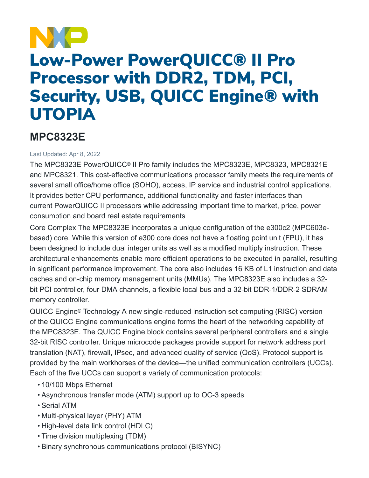

# Low-Power PowerQUICC® II Pro Processor with DDR2, TDM, PCI, Security, USB, QUICC Engine® with UTOPIA

# **MPC8323E**

### Last Updated: Apr 8, 2022

The MPC8323E PowerQUICC® II Pro family includes the MPC8323E, MPC8323, MPC8321E and MPC8321. This cost-effective communications processor family meets the requirements of several small office/home office (SOHO), access, IP service and industrial control applications. It provides better CPU performance, additional functionality and faster interfaces than current PowerQUICC II processors while addressing important time to market, price, power consumption and board real estate requirements

Core Complex The MPC8323E incorporates a unique configuration of the e300c2 (MPC603ebased) core. While this version of e300 core does not have a floating point unit (FPU), it has been designed to include dual integer units as well as a modified multiply instruction. These architectural enhancements enable more efficient operations to be executed in parallel, resulting in significant performance improvement. The core also includes 16 KB of L1 instruction and data caches and on-chip memory management units (MMUs). The MPC8323E also includes a 32 bit PCI controller, four DMA channels, a flexible local bus and a 32-bit DDR-1/DDR-2 SDRAM memory controller.

QUICC Engine® Technology A new single-reduced instruction set computing (RISC) version of the QUICC Engine communications engine forms the heart of the networking capability of the MPC8323E. The QUICC Engine block contains several peripheral controllers and a single 32-bit RISC controller. Unique microcode packages provide support for network address port translation (NAT), firewall, IPsec, and advanced quality of service (QoS). Protocol support is provided by the main workhorses of the device—the unified communication controllers (UCCs). Each of the five UCCs can support a variety of communication protocols:

- 10/100 Mbps Ethernet
- Asynchronous transfer mode (ATM) support up to OC-3 speeds
- Serial ATM
- Multi-physical layer (PHY) ATM
- High-level data link control (HDLC)
- Time division multiplexing (TDM)
- Binary synchronous communications protocol (BISYNC)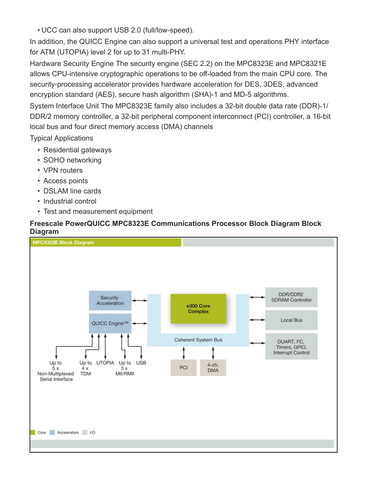• UCC can also support USB 2.0 (full/low-speed).

In addition, the QUICC Engine can also support a universal test and operations PHY interface for ATM (UTOPIA) level 2 for up to 31 multi-PHY.

Hardware Security Engine The security engine (SEC 2.2) on the MPC8323E and MPC8321E allows CPU-intensive cryptographic operations to be off-loaded from the main CPU core. The security-processing accelerator provides hardware acceleration for DES, 3DES, advanced encryption standard (AES), secure hash algorithm (SHA)-1 and MD-5 algorithms.

System Interface Unit The MPC8323E family also includes a 32-bit double data rate (DDR)-1/ DDR/2 memory controller, a 32-bit peripheral component interconnect (PCI) controller, a 16-bit local bus and four direct memory access (DMA) channels

Typical Applications

- Residential gateways
- SOHO networking
- VPN routers
- Access points
- DSLAM line cards
- Industrial control
- Test and measurement equipment

## **Freescale PowerQUICC MPC8323E Communications Processor Block Diagram Block Diagram**